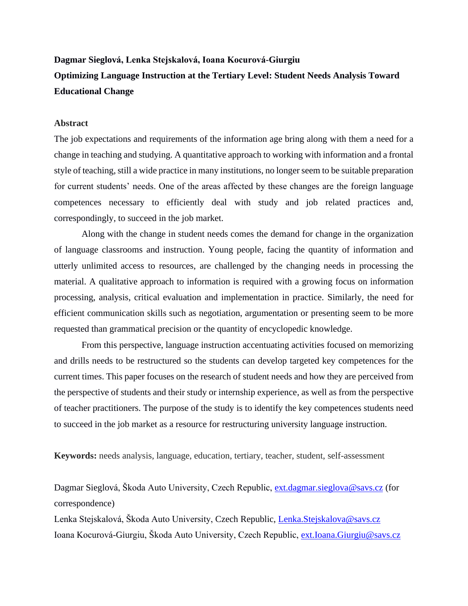# **Dagmar Sieglová, Lenka Stejskalová, Ioana Kocurová-Giurgiu Optimizing Language Instruction at the Tertiary Level: Student Needs Analysis Toward Educational Change**

## **Abstract**

The job expectations and requirements of the information age bring along with them a need for a change in teaching and studying. A quantitative approach to working with information and a frontal style of teaching, still a wide practice in many institutions, no longer seem to be suitable preparation for current students' needs. One of the areas affected by these changes are the foreign language competences necessary to efficiently deal with study and job related practices and, correspondingly, to succeed in the job market.

Along with the change in student needs comes the demand for change in the organization of language classrooms and instruction. Young people, facing the quantity of information and utterly unlimited access to resources, are challenged by the changing needs in processing the material. A qualitative approach to information is required with a growing focus on information processing, analysis, critical evaluation and implementation in practice. Similarly, the need for efficient communication skills such as negotiation, argumentation or presenting seem to be more requested than grammatical precision or the quantity of encyclopedic knowledge.

From this perspective, language instruction accentuating activities focused on memorizing and drills needs to be restructured so the students can develop targeted key competences for the current times. This paper focuses on the research of student needs and how they are perceived from the perspective of students and their study or internship experience, as well as from the perspective of teacher practitioners. The purpose of the study is to identify the key competences students need to succeed in the job market as a resource for restructuring university language instruction.

**Keywords:** needs analysis, language, education, tertiary, teacher, student, self-assessment

Dagmar Sieglová, Škoda Auto University, Czech Republic, [ext.dagmar.sieglova@savs.cz](mailto:ext.dagmar.sieglova@savs.cz) (for correspondence)

Lenka Stejskalová, Škoda Auto University, Czech Republic, [Lenka.Stejskalova@savs.cz](mailto:Lenka.Stejskalova@savs.cz) Ioana Kocurová-Giurgiu, Škoda Auto University, Czech Republic, [ext.Ioana.Giurgiu@savs.cz](mailto:ext.Ioana.Giurgiu@savs.cz)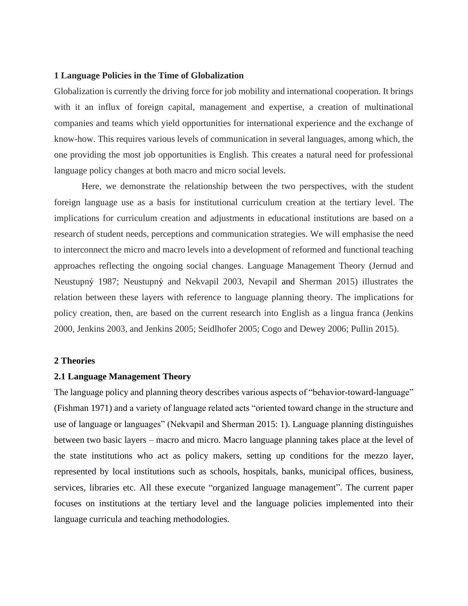#### **1 Language Policies in the Time of Globalization**

Globalization is currently the driving force for job mobility and international cooperation. It brings with it an influx of foreign capital, management and expertise, a creation of multinational companies and teams which yield opportunities for international experience and the exchange of know-how. This requires various levels of communication in several languages, among which, the one providing the most job opportunities is English. This creates a natural need for professional language policy changes at both macro and micro social levels.

Here, we demonstrate the relationship between the two perspectives, with the student foreign language use as a basis for institutional curriculum creation at the tertiary level. The implications for curriculum creation and adjustments in educational institutions are based on a research of student needs, perceptions and communication strategies. We will emphasise the need to interconnect the micro and macro levels into a development of reformed and functional teaching approaches reflecting the ongoing social changes. Language Management Theory (Jernud and Neustupný 1987; Neustupný and Nekvapil 2003, Nevapil and Sherman 2015) illustrates the relation between these layers with reference to language planning theory. The implications for policy creation, then, are based on the current research into English as a lingua franca (Jenkins 2000, Jenkins 2003, and Jenkins 2005; Seidlhofer 2005; Cogo and Dewey 2006; Pullin 2015).

#### **2 Theories**

## **2.1 Language Management Theory**

The language policy and planning theory describes various aspects of "behavior-toward-language" (Fishman 1971) and a variety of language related acts "oriented toward change in the structure and use of language or languages" (Nekvapil and Sherman 2015: 1). Language planning distinguishes between two basic layers – macro and micro. Macro language planning takes place at the level of the state institutions who act as policy makers, setting up conditions for the mezzo layer, represented by local institutions such as schools, hospitals, banks, municipal offices, business, services, libraries etc. All these execute "organized language management". The current paper focuses on institutions at the tertiary level and the language policies implemented into their language curricula and teaching methodologies.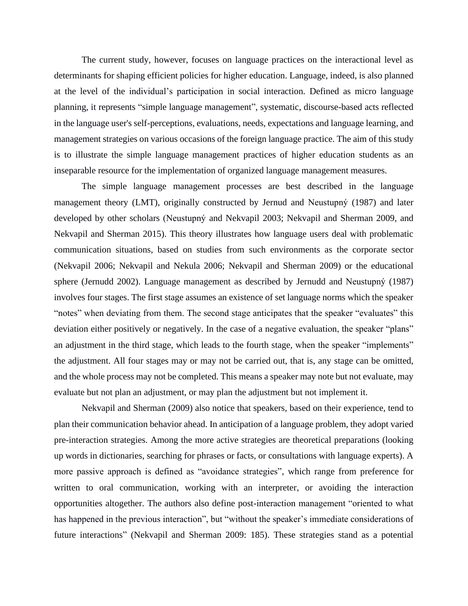The current study, however, focuses on language practices on the interactional level as determinants for shaping efficient policies for higher education. Language, indeed, is also planned at the level of the individual's participation in social interaction. Defined as micro language planning, it represents "simple language management", systematic, discourse-based acts reflected in the language user's self-perceptions, evaluations, needs, expectations and language learning, and management strategies on various occasions of the foreign language practice. The aim of this study is to illustrate the simple language management practices of higher education students as an inseparable resource for the implementation of organized language management measures.

The simple language management processes are best described in the language management theory (LMT), originally constructed by Jernud and Neustupný (1987) and later developed by other scholars (Neustupný and Nekvapil 2003; Nekvapil and Sherman 2009, and Nekvapil and Sherman 2015). This theory illustrates how language users deal with problematic communication situations, based on studies from such environments as the corporate sector (Nekvapil 2006; Nekvapil and Nekula 2006; Nekvapil and Sherman 2009) or the educational sphere (Jernudd 2002). Language management as described by Jernudd and Neustupný (1987) involves four stages. The first stage assumes an existence of set language norms which the speaker "notes" when deviating from them. The second stage anticipates that the speaker "evaluates" this deviation either positively or negatively. In the case of a negative evaluation, the speaker "plans" an adjustment in the third stage, which leads to the fourth stage, when the speaker "implements" the adjustment. All four stages may or may not be carried out, that is, any stage can be omitted, and the whole process may not be completed. This means a speaker may note but not evaluate, may evaluate but not plan an adjustment, or may plan the adjustment but not implement it.

Nekvapil and Sherman (2009) also notice that speakers, based on their experience, tend to plan their communication behavior ahead. In anticipation of a language problem, they adopt varied pre-interaction strategies. Among the more active strategies are theoretical preparations (looking up words in dictionaries, searching for phrases or facts, or consultations with language experts). A more passive approach is defined as "avoidance strategies", which range from preference for written to oral communication, working with an interpreter, or avoiding the interaction opportunities altogether. The authors also define post-interaction management "oriented to what has happened in the previous interaction", but "without the speaker's immediate considerations of future interactions" (Nekvapil and Sherman 2009: 185). These strategies stand as a potential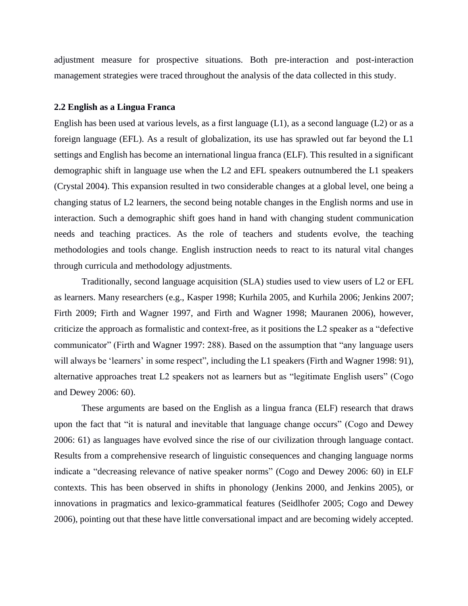adjustment measure for prospective situations. Both pre-interaction and post-interaction management strategies were traced throughout the analysis of the data collected in this study.

## **2.2 English as a Lingua Franca**

English has been used at various levels, as a first language  $(L1)$ , as a second language  $(L2)$  or as a foreign language (EFL). As a result of globalization, its use has sprawled out far beyond the L1 settings and English has become an international lingua franca (ELF). This resulted in a significant demographic shift in language use when the L2 and EFL speakers outnumbered the L1 speakers (Crystal 2004). This expansion resulted in two considerable changes at a global level, one being a changing status of L2 learners, the second being notable changes in the English norms and use in interaction. Such a demographic shift goes hand in hand with changing student communication needs and teaching practices. As the role of teachers and students evolve, the teaching methodologies and tools change. English instruction needs to react to its natural vital changes through curricula and methodology adjustments.

Traditionally, second language acquisition (SLA) studies used to view users of L2 or EFL as learners. Many researchers (e.g., Kasper 1998; Kurhila 2005, and Kurhila 2006; Jenkins 2007; Firth 2009; Firth and Wagner 1997, and Firth and Wagner 1998; Mauranen 2006), however, criticize the approach as formalistic and context-free, as it positions the L2 speaker as a "defective communicator" (Firth and Wagner 1997: 288). Based on the assumption that "any language users will always be 'learners' in some respect", including the L1 speakers (Firth and Wagner 1998: 91), alternative approaches treat L2 speakers not as learners but as "legitimate English users" (Cogo and Dewey 2006: 60).

These arguments are based on the English as a lingua franca (ELF) research that draws upon the fact that "it is natural and inevitable that language change occurs" (Cogo and Dewey 2006: 61) as languages have evolved since the rise of our civilization through language contact. Results from a comprehensive research of linguistic consequences and changing language norms indicate a "decreasing relevance of native speaker norms" (Cogo and Dewey 2006: 60) in ELF contexts. This has been observed in shifts in phonology (Jenkins 2000, and Jenkins 2005), or innovations in pragmatics and lexico-grammatical features (Seidlhofer 2005; Cogo and Dewey 2006), pointing out that these have little conversational impact and are becoming widely accepted.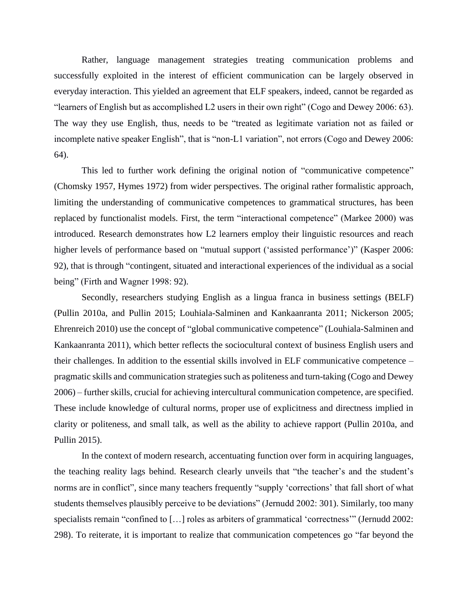Rather, language management strategies treating communication problems and successfully exploited in the interest of efficient communication can be largely observed in everyday interaction. This yielded an agreement that ELF speakers, indeed, cannot be regarded as "learners of English but as accomplished L2 users in their own right" (Cogo and Dewey 2006: 63). The way they use English, thus, needs to be "treated as legitimate variation not as failed or incomplete native speaker English", that is "non-L1 variation", not errors (Cogo and Dewey 2006: 64).

This led to further work defining the original notion of "communicative competence" (Chomsky 1957, Hymes 1972) from wider perspectives. The original rather formalistic approach, limiting the understanding of communicative competences to grammatical structures, has been replaced by functionalist models. First, the term "interactional competence" (Markee 2000) was introduced. Research demonstrates how L2 learners employ their linguistic resources and reach higher levels of performance based on "mutual support ('assisted performance')" (Kasper 2006: 92), that is through "contingent, situated and interactional experiences of the individual as a social being" (Firth and Wagner 1998: 92).

Secondly, researchers studying English as a lingua franca in business settings (BELF) (Pullin 2010a, and Pullin 2015; Louhiala-Salminen and Kankaanranta 2011; Nickerson 2005; Ehrenreich 2010) use the concept of "global communicative competence" (Louhiala-Salminen and Kankaanranta 2011), which better reflects the sociocultural context of business English users and their challenges. In addition to the essential skills involved in ELF communicative competence – pragmatic skills and communication strategies such as politeness and turn-taking (Cogo and Dewey 2006) – further skills, crucial for achieving intercultural communication competence, are specified. These include knowledge of cultural norms, proper use of explicitness and directness implied in clarity or politeness, and small talk, as well as the ability to achieve rapport (Pullin 2010a, and Pullin 2015).

In the context of modern research, accentuating function over form in acquiring languages, the teaching reality lags behind. Research clearly unveils that "the teacher's and the student's norms are in conflict", since many teachers frequently "supply 'corrections' that fall short of what students themselves plausibly perceive to be deviations" (Jernudd 2002: 301). Similarly, too many specialists remain "confined to […] roles as arbiters of grammatical 'correctness'" (Jernudd 2002: 298). To reiterate, it is important to realize that communication competences go "far beyond the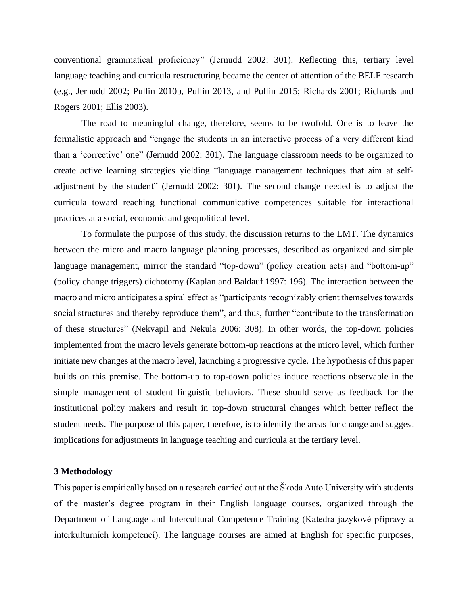conventional grammatical proficiency" (Jernudd 2002: 301). Reflecting this, tertiary level language teaching and curricula restructuring became the center of attention of the BELF research (e.g., Jernudd 2002; Pullin 2010b, Pullin 2013, and Pullin 2015; Richards 2001; Richards and Rogers 2001; Ellis 2003).

The road to meaningful change, therefore, seems to be twofold. One is to leave the formalistic approach and "engage the students in an interactive process of a very different kind than a 'corrective' one" (Jernudd 2002: 301). The language classroom needs to be organized to create active learning strategies yielding "language management techniques that aim at selfadjustment by the student" (Jernudd 2002: 301). The second change needed is to adjust the curricula toward reaching functional communicative competences suitable for interactional practices at a social, economic and geopolitical level.

To formulate the purpose of this study, the discussion returns to the LMT. The dynamics between the micro and macro language planning processes, described as organized and simple language management, mirror the standard "top-down" (policy creation acts) and "bottom-up" (policy change triggers) dichotomy (Kaplan and Baldauf 1997: 196). The interaction between the macro and micro anticipates a spiral effect as "participants recognizably orient themselves towards social structures and thereby reproduce them", and thus, further "contribute to the transformation of these structures" (Nekvapil and Nekula 2006: 308). In other words, the top-down policies implemented from the macro levels generate bottom-up reactions at the micro level, which further initiate new changes at the macro level, launching a progressive cycle. The hypothesis of this paper builds on this premise. The bottom-up to top-down policies induce reactions observable in the simple management of student linguistic behaviors. These should serve as feedback for the institutional policy makers and result in top-down structural changes which better reflect the student needs. The purpose of this paper, therefore, is to identify the areas for change and suggest implications for adjustments in language teaching and curricula at the tertiary level.

## **3 Methodology**

This paper is empirically based on a research carried out at the Škoda Auto University with students of the master's degree program in their English language courses, organized through the Department of Language and Intercultural Competence Training (Katedra jazykové přípravy a interkulturních kompetencí). The language courses are aimed at English for specific purposes,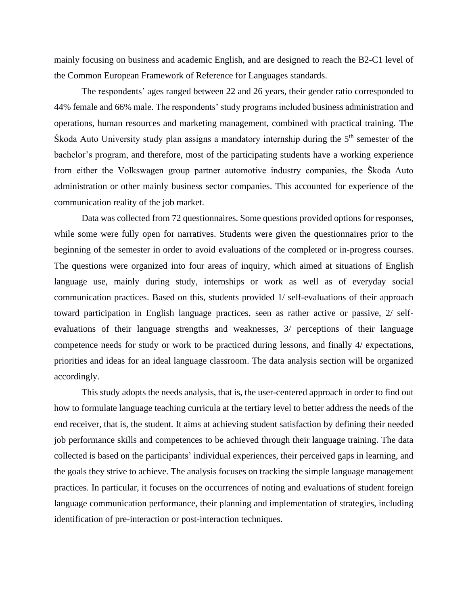mainly focusing on business and academic English, and are designed to reach the B2-C1 level of the Common European Framework of Reference for Languages standards.

The respondents' ages ranged between 22 and 26 years, their gender ratio corresponded to 44% female and 66% male. The respondents' study programs included business administration and operations, human resources and marketing management, combined with practical training. The Škoda Auto University study plan assigns a mandatory internship during the  $5<sup>th</sup>$  semester of the bachelor's program, and therefore, most of the participating students have a working experience from either the Volkswagen group partner automotive industry companies, the Škoda Auto administration or other mainly business sector companies. This accounted for experience of the communication reality of the job market.

Data was collected from 72 questionnaires. Some questions provided options for responses, while some were fully open for narratives. Students were given the questionnaires prior to the beginning of the semester in order to avoid evaluations of the completed or in-progress courses. The questions were organized into four areas of inquiry, which aimed at situations of English language use, mainly during study, internships or work as well as of everyday social communication practices. Based on this, students provided 1/ self-evaluations of their approach toward participation in English language practices, seen as rather active or passive, 2/ selfevaluations of their language strengths and weaknesses, 3/ perceptions of their language competence needs for study or work to be practiced during lessons, and finally 4/ expectations, priorities and ideas for an ideal language classroom. The data analysis section will be organized accordingly.

This study adopts the needs analysis, that is, the user-centered approach in order to find out how to formulate language teaching curricula at the tertiary level to better address the needs of the end receiver, that is, the student. It aims at achieving student satisfaction by defining their needed job performance skills and competences to be achieved through their language training. The data collected is based on the participants' individual experiences, their perceived gaps in learning, and the goals they strive to achieve. The analysis focuses on tracking the simple language management practices. In particular, it focuses on the occurrences of noting and evaluations of student foreign language communication performance, their planning and implementation of strategies, including identification of pre-interaction or post-interaction techniques.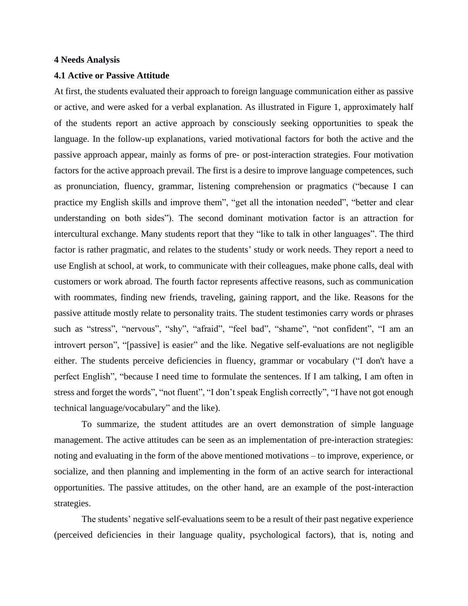#### **4 Needs Analysis**

#### **4.1 Active or Passive Attitude**

At first, the students evaluated their approach to foreign language communication either as passive or active, and were asked for a verbal explanation. As illustrated in Figure 1, approximately half of the students report an active approach by consciously seeking opportunities to speak the language. In the follow-up explanations, varied motivational factors for both the active and the passive approach appear, mainly as forms of pre- or post-interaction strategies. Four motivation factors for the active approach prevail. The first is a desire to improve language competences, such as pronunciation, fluency, grammar, listening comprehension or pragmatics ("because I can practice my English skills and improve them", "get all the intonation needed", "better and clear understanding on both sides"). The second dominant motivation factor is an attraction for intercultural exchange. Many students report that they "like to talk in other languages". The third factor is rather pragmatic, and relates to the students' study or work needs. They report a need to use English at school, at work, to communicate with their colleagues, make phone calls, deal with customers or work abroad. The fourth factor represents affective reasons, such as communication with roommates, finding new friends, traveling, gaining rapport, and the like. Reasons for the passive attitude mostly relate to personality traits. The student testimonies carry words or phrases such as "stress", "nervous", "shy", "afraid", "feel bad", "shame", "not confident", "I am an introvert person", "[passive] is easier" and the like. Negative self-evaluations are not negligible either. The students perceive deficiencies in fluency, grammar or vocabulary ("I don't have a perfect English", "because I need time to formulate the sentences. If I am talking, I am often in stress and forget the words", "not fluent", "I don't speak English correctly", "I have not got enough technical language/vocabulary" and the like).

To summarize, the student attitudes are an overt demonstration of simple language management. The active attitudes can be seen as an implementation of pre-interaction strategies: noting and evaluating in the form of the above mentioned motivations – to improve, experience, or socialize, and then planning and implementing in the form of an active search for interactional opportunities. The passive attitudes, on the other hand, are an example of the post-interaction strategies.

The students' negative self-evaluations seem to be a result of their past negative experience (perceived deficiencies in their language quality, psychological factors), that is, noting and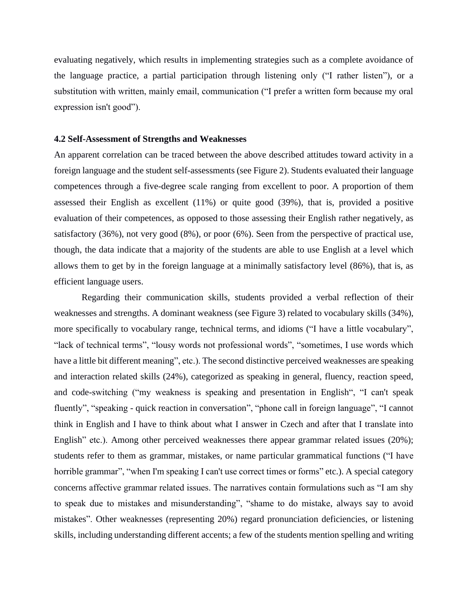evaluating negatively, which results in implementing strategies such as a complete avoidance of the language practice, a partial participation through listening only ("I rather listen"), or a substitution with written, mainly email, communication ("I prefer a written form because my oral expression isn't good").

#### **4.2 Self-Assessment of Strengths and Weaknesses**

An apparent correlation can be traced between the above described attitudes toward activity in a foreign language and the student self-assessments (see Figure 2). Students evaluated their language competences through a five-degree scale ranging from excellent to poor. A proportion of them assessed their English as excellent (11%) or quite good (39%), that is, provided a positive evaluation of their competences, as opposed to those assessing their English rather negatively, as satisfactory (36%), not very good (8%), or poor (6%). Seen from the perspective of practical use, though, the data indicate that a majority of the students are able to use English at a level which allows them to get by in the foreign language at a minimally satisfactory level (86%), that is, as efficient language users.

Regarding their communication skills, students provided a verbal reflection of their weaknesses and strengths. A dominant weakness (see Figure 3) related to vocabulary skills (34%), more specifically to vocabulary range, technical terms, and idioms ("I have a little vocabulary", "lack of technical terms", "lousy words not professional words", "sometimes, I use words which have a little bit different meaning", etc.). The second distinctive perceived weaknesses are speaking and interaction related skills (24%), categorized as speaking in general, fluency, reaction speed, and code-switching ("my weakness is speaking and presentation in English", "I can't speak fluently", "speaking - quick reaction in conversation", "phone call in foreign language", "I cannot think in English and I have to think about what I answer in Czech and after that I translate into English" etc.). Among other perceived weaknesses there appear grammar related issues (20%); students refer to them as grammar, mistakes, or name particular grammatical functions ("I have horrible grammar", "when I'm speaking I can't use correct times or forms" etc.). A special category concerns affective grammar related issues. The narratives contain formulations such as "I am shy to speak due to mistakes and misunderstanding", "shame to do mistake, always say to avoid mistakes". Other weaknesses (representing 20%) regard pronunciation deficiencies, or listening skills, including understanding different accents; a few of the students mention spelling and writing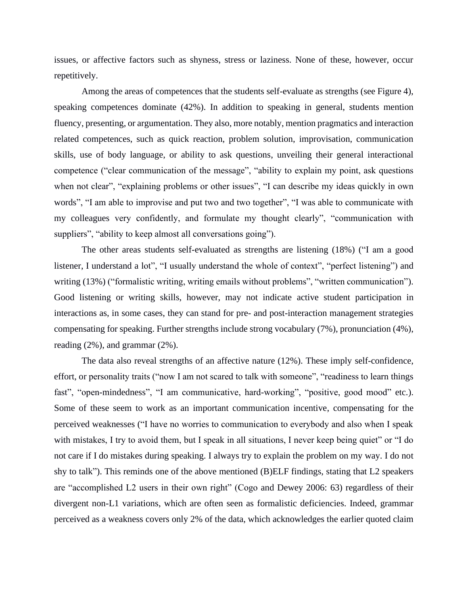issues, or affective factors such as shyness, stress or laziness. None of these, however, occur repetitively.

Among the areas of competences that the students self-evaluate as strengths (see Figure 4), speaking competences dominate (42%). In addition to speaking in general, students mention fluency, presenting, or argumentation. They also, more notably, mention pragmatics and interaction related competences, such as quick reaction, problem solution, improvisation, communication skills, use of body language, or ability to ask questions, unveiling their general interactional competence ("clear communication of the message", "ability to explain my point, ask questions when not clear", "explaining problems or other issues", "I can describe my ideas quickly in own words", "I am able to improvise and put two and two together", "I was able to communicate with my colleagues very confidently, and formulate my thought clearly", "communication with suppliers", "ability to keep almost all conversations going").

The other areas students self-evaluated as strengths are listening (18%) ("I am a good listener, I understand a lot", "I usually understand the whole of context", "perfect listening") and writing (13%) ("formalistic writing, writing emails without problems", "written communication"). Good listening or writing skills, however, may not indicate active student participation in interactions as, in some cases, they can stand for pre- and post-interaction management strategies compensating for speaking. Further strengths include strong vocabulary (7%), pronunciation (4%), reading (2%), and grammar (2%).

The data also reveal strengths of an affective nature (12%). These imply self-confidence, effort, or personality traits ("now I am not scared to talk with someone", "readiness to learn things fast", "open-mindedness", "I am communicative, hard-working", "positive, good mood" etc.). Some of these seem to work as an important communication incentive, compensating for the perceived weaknesses ("I have no worries to communication to everybody and also when I speak with mistakes, I try to avoid them, but I speak in all situations, I never keep being quiet" or "I do not care if I do mistakes during speaking. I always try to explain the problem on my way. I do not shy to talk"). This reminds one of the above mentioned (B)ELF findings, stating that L2 speakers are "accomplished L2 users in their own right" (Cogo and Dewey 2006: 63) regardless of their divergent non-L1 variations, which are often seen as formalistic deficiencies. Indeed, grammar perceived as a weakness covers only 2% of the data, which acknowledges the earlier quoted claim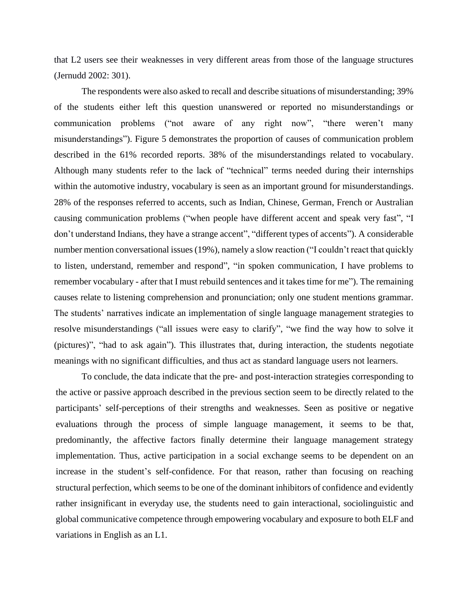that L2 users see their weaknesses in very different areas from those of the language structures (Jernudd 2002: 301).

The respondents were also asked to recall and describe situations of misunderstanding; 39% of the students either left this question unanswered or reported no misunderstandings or communication problems ("not aware of any right now", "there weren't many misunderstandings"). Figure 5 demonstrates the proportion of causes of communication problem described in the 61% recorded reports. 38% of the misunderstandings related to vocabulary. Although many students refer to the lack of "technical" terms needed during their internships within the automotive industry, vocabulary is seen as an important ground for misunderstandings. 28% of the responses referred to accents, such as Indian, Chinese, German, French or Australian causing communication problems ("when people have different accent and speak very fast", "I don't understand Indians, they have a strange accent", "different types of accents"). A considerable number mention conversational issues (19%), namely a slow reaction ("I couldn't react that quickly to listen, understand, remember and respond", "in spoken communication, I have problems to remember vocabulary - after that I must rebuild sentences and it takes time for me"). The remaining causes relate to listening comprehension and pronunciation; only one student mentions grammar. The students' narratives indicate an implementation of single language management strategies to resolve misunderstandings ("all issues were easy to clarify", "we find the way how to solve it (pictures)", "had to ask again"). This illustrates that, during interaction, the students negotiate meanings with no significant difficulties, and thus act as standard language users not learners.

To conclude, the data indicate that the pre- and post-interaction strategies corresponding to the active or passive approach described in the previous section seem to be directly related to the participants' self-perceptions of their strengths and weaknesses. Seen as positive or negative evaluations through the process of simple language management, it seems to be that, predominantly, the affective factors finally determine their language management strategy implementation. Thus, active participation in a social exchange seems to be dependent on an increase in the student's self-confidence. For that reason, rather than focusing on reaching structural perfection, which seems to be one of the dominant inhibitors of confidence and evidently rather insignificant in everyday use, the students need to gain interactional, sociolinguistic and global communicative competence through empowering vocabulary and exposure to both ELF and variations in English as an L1.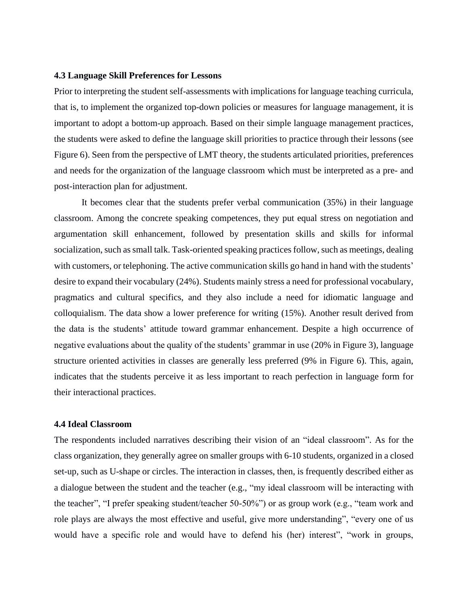## **4.3 Language Skill Preferences for Lessons**

Prior to interpreting the student self-assessments with implications for language teaching curricula, that is, to implement the organized top-down policies or measures for language management, it is important to adopt a bottom-up approach. Based on their simple language management practices, the students were asked to define the language skill priorities to practice through their lessons (see Figure 6). Seen from the perspective of LMT theory, the students articulated priorities, preferences and needs for the organization of the language classroom which must be interpreted as a pre- and post-interaction plan for adjustment.

It becomes clear that the students prefer verbal communication (35%) in their language classroom. Among the concrete speaking competences, they put equal stress on negotiation and argumentation skill enhancement, followed by presentation skills and skills for informal socialization, such as small talk. Task-oriented speaking practices follow, such as meetings, dealing with customers, or telephoning. The active communication skills go hand in hand with the students' desire to expand their vocabulary (24%). Students mainly stress a need for professional vocabulary, pragmatics and cultural specifics, and they also include a need for idiomatic language and colloquialism. The data show a lower preference for writing (15%). Another result derived from the data is the students' attitude toward grammar enhancement. Despite a high occurrence of negative evaluations about the quality of the students' grammar in use (20% in Figure 3), language structure oriented activities in classes are generally less preferred (9% in Figure 6). This, again, indicates that the students perceive it as less important to reach perfection in language form for their interactional practices.

## **4.4 Ideal Classroom**

The respondents included narratives describing their vision of an "ideal classroom". As for the class organization, they generally agree on smaller groups with 6-10 students, organized in a closed set-up, such as U-shape or circles. The interaction in classes, then, is frequently described either as a dialogue between the student and the teacher (e.g., "my ideal classroom will be interacting with the teacher", "I prefer speaking student/teacher 50-50%") or as group work (e.g., "team work and role plays are always the most effective and useful, give more understanding", "every one of us would have a specific role and would have to defend his (her) interest", "work in groups,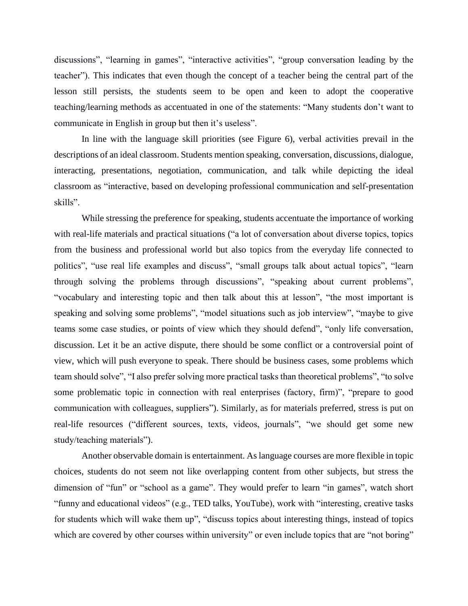discussions", "learning in games", "interactive activities", "group conversation leading by the teacher"). This indicates that even though the concept of a teacher being the central part of the lesson still persists, the students seem to be open and keen to adopt the cooperative teaching/learning methods as accentuated in one of the statements: "Many students don't want to communicate in English in group but then it's useless".

In line with the language skill priorities (see Figure 6), verbal activities prevail in the descriptions of an ideal classroom. Students mention speaking, conversation, discussions, dialogue, interacting, presentations, negotiation, communication, and talk while depicting the ideal classroom as "interactive, based on developing professional communication and self-presentation skills".

While stressing the preference for speaking, students accentuate the importance of working with real-life materials and practical situations ("a lot of conversation about diverse topics, topics from the business and professional world but also topics from the everyday life connected to politics", "use real life examples and discuss", "small groups talk about actual topics", "learn through solving the problems through discussions", "speaking about current problems", "vocabulary and interesting topic and then talk about this at lesson", "the most important is speaking and solving some problems", "model situations such as job interview", "maybe to give teams some case studies, or points of view which they should defend", "only life conversation, discussion. Let it be an active dispute, there should be some conflict or a controversial point of view, which will push everyone to speak. There should be business cases, some problems which team should solve", "I also prefer solving more practical tasks than theoretical problems", "to solve some problematic topic in connection with real enterprises (factory, firm)", "prepare to good communication with colleagues, suppliers"). Similarly, as for materials preferred, stress is put on real-life resources ("different sources, texts, videos, journals", "we should get some new study/teaching materials").

Another observable domain is entertainment. Aslanguage courses are more flexible in topic choices, students do not seem not like overlapping content from other subjects, but stress the dimension of "fun" or "school as a game". They would prefer to learn "in games", watch short "funny and educational videos" (e.g., TED talks, YouTube), work with "interesting, creative tasks for students which will wake them up", "discuss topics about interesting things, instead of topics which are covered by other courses within university" or even include topics that are "not boring"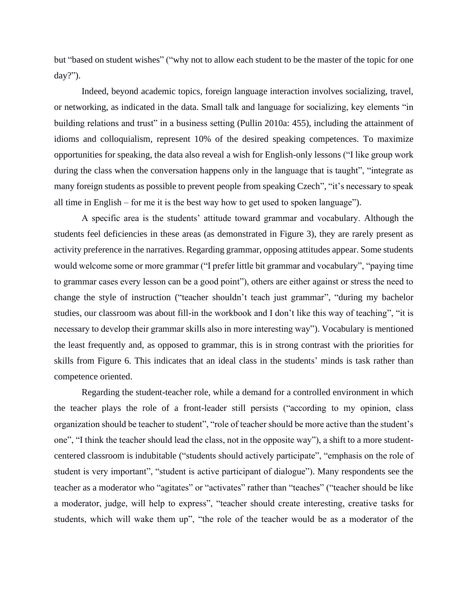but "based on student wishes" ("why not to allow each student to be the master of the topic for one day?").

Indeed, beyond academic topics, foreign language interaction involves socializing, travel, or networking, as indicated in the data. Small talk and language for socializing, key elements "in building relations and trust" in a business setting (Pullin 2010a: 455), including the attainment of idioms and colloquialism, represent 10% of the desired speaking competences. To maximize opportunities for speaking, the data also reveal a wish for English-only lessons ("I like group work during the class when the conversation happens only in the language that is taught", "integrate as many foreign students as possible to prevent people from speaking Czech", "it's necessary to speak all time in English – for me it is the best way how to get used to spoken language").

A specific area is the students' attitude toward grammar and vocabulary. Although the students feel deficiencies in these areas (as demonstrated in Figure 3), they are rarely present as activity preference in the narratives. Regarding grammar, opposing attitudes appear. Some students would welcome some or more grammar ("I prefer little bit grammar and vocabulary", "paying time to grammar cases every lesson can be a good point"), others are either against or stress the need to change the style of instruction ("teacher shouldn't teach just grammar", "during my bachelor studies, our classroom was about fill-in the workbook and I don't like this way of teaching", "it is necessary to develop their grammar skills also in more interesting way"). Vocabulary is mentioned the least frequently and, as opposed to grammar, this is in strong contrast with the priorities for skills from Figure 6. This indicates that an ideal class in the students' minds is task rather than competence oriented.

Regarding the student-teacher role, while a demand for a controlled environment in which the teacher plays the role of a front-leader still persists ("according to my opinion, class organization should be teacher to student", "role of teacher should be more active than the student's one", "I think the teacher should lead the class, not in the opposite way"), a shift to a more studentcentered classroom is indubitable ("students should actively participate", "emphasis on the role of student is very important", "student is active participant of dialogue"). Many respondents see the teacher as a moderator who "agitates" or "activates" rather than "teaches" ("teacher should be like a moderator, judge, will help to express", "teacher should create interesting, creative tasks for students, which will wake them up", "the role of the teacher would be as a moderator of the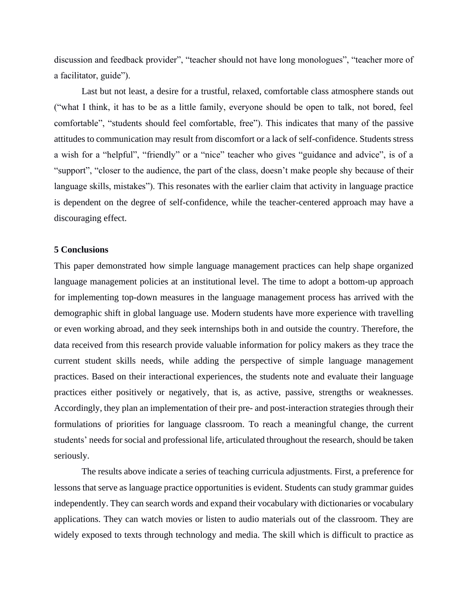discussion and feedback provider", "teacher should not have long monologues", "teacher more of a facilitator, guide").

Last but not least, a desire for a trustful, relaxed, comfortable class atmosphere stands out ("what I think, it has to be as a little family, everyone should be open to talk, not bored, feel comfortable", "students should feel comfortable, free"). This indicates that many of the passive attitudes to communication may result from discomfort or a lack of self-confidence. Students stress a wish for a "helpful", "friendly" or a "nice" teacher who gives "guidance and advice", is of a "support", "closer to the audience, the part of the class, doesn't make people shy because of their language skills, mistakes"). This resonates with the earlier claim that activity in language practice is dependent on the degree of self-confidence, while the teacher-centered approach may have a discouraging effect.

## **5 Conclusions**

This paper demonstrated how simple language management practices can help shape organized language management policies at an institutional level. The time to adopt a bottom-up approach for implementing top-down measures in the language management process has arrived with the demographic shift in global language use. Modern students have more experience with travelling or even working abroad, and they seek internships both in and outside the country. Therefore, the data received from this research provide valuable information for policy makers as they trace the current student skills needs, while adding the perspective of simple language management practices. Based on their interactional experiences, the students note and evaluate their language practices either positively or negatively, that is, as active, passive, strengths or weaknesses. Accordingly, they plan an implementation of their pre- and post-interaction strategies through their formulations of priorities for language classroom. To reach a meaningful change, the current students' needs for social and professional life, articulated throughout the research, should be taken seriously.

The results above indicate a series of teaching curricula adjustments. First, a preference for lessons that serve as language practice opportunities is evident. Students can study grammar guides independently. They can search words and expand their vocabulary with dictionaries or vocabulary applications. They can watch movies or listen to audio materials out of the classroom. They are widely exposed to texts through technology and media. The skill which is difficult to practice as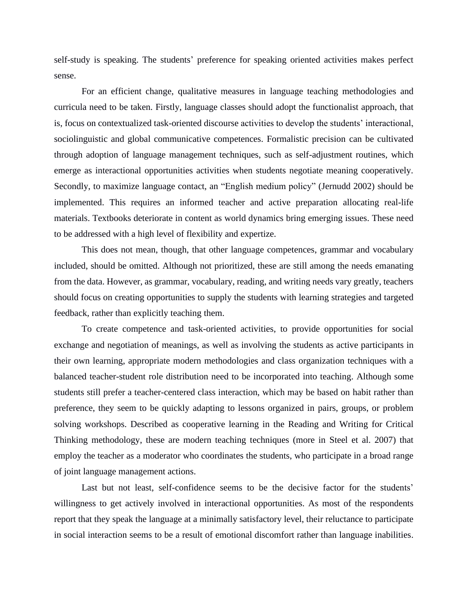self-study is speaking. The students' preference for speaking oriented activities makes perfect sense.

For an efficient change, qualitative measures in language teaching methodologies and curricula need to be taken. Firstly, language classes should adopt the functionalist approach, that is, focus on contextualized task-oriented discourse activities to develop the students' interactional, sociolinguistic and global communicative competences. Formalistic precision can be cultivated through adoption of language management techniques, such as self-adjustment routines, which emerge as interactional opportunities activities when students negotiate meaning cooperatively. Secondly, to maximize language contact, an "English medium policy" (Jernudd 2002) should be implemented. This requires an informed teacher and active preparation allocating real-life materials. Textbooks deteriorate in content as world dynamics bring emerging issues. These need to be addressed with a high level of flexibility and expertize.

This does not mean, though, that other language competences, grammar and vocabulary included, should be omitted. Although not prioritized, these are still among the needs emanating from the data. However, as grammar, vocabulary, reading, and writing needs vary greatly, teachers should focus on creating opportunities to supply the students with learning strategies and targeted feedback, rather than explicitly teaching them.

To create competence and task-oriented activities, to provide opportunities for social exchange and negotiation of meanings, as well as involving the students as active participants in their own learning, appropriate modern methodologies and class organization techniques with a balanced teacher-student role distribution need to be incorporated into teaching. Although some students still prefer a teacher-centered class interaction, which may be based on habit rather than preference, they seem to be quickly adapting to lessons organized in pairs, groups, or problem solving workshops. Described as cooperative learning in the Reading and Writing for Critical Thinking methodology, these are modern teaching techniques (more in Steel et al. 2007) that employ the teacher as a moderator who coordinates the students, who participate in a broad range of joint language management actions.

Last but not least, self-confidence seems to be the decisive factor for the students' willingness to get actively involved in interactional opportunities. As most of the respondents report that they speak the language at a minimally satisfactory level, their reluctance to participate in social interaction seems to be a result of emotional discomfort rather than language inabilities.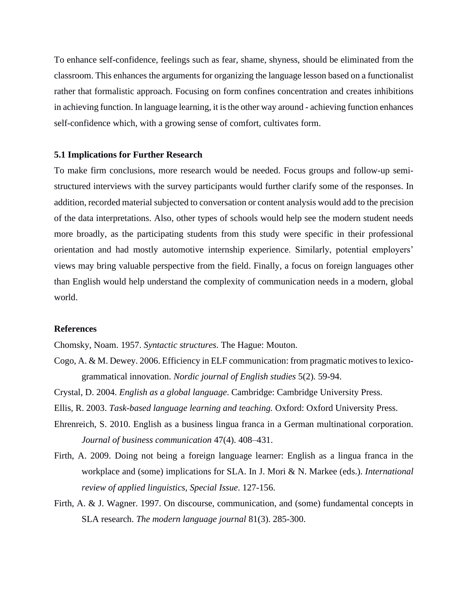To enhance self-confidence, feelings such as fear, shame, shyness, should be eliminated from the classroom. This enhances the arguments for organizing the language lesson based on a functionalist rather that formalistic approach. Focusing on form confines concentration and creates inhibitions in achieving function. In language learning, it is the other way around - achieving function enhances self-confidence which, with a growing sense of comfort, cultivates form.

## **5.1 Implications for Further Research**

To make firm conclusions, more research would be needed. Focus groups and follow-up semistructured interviews with the survey participants would further clarify some of the responses. In addition, recorded material subjected to conversation or content analysis would add to the precision of the data interpretations. Also, other types of schools would help see the modern student needs more broadly, as the participating students from this study were specific in their professional orientation and had mostly automotive internship experience. Similarly, potential employers' views may bring valuable perspective from the field. Finally, a focus on foreign languages other than English would help understand the complexity of communication needs in a modern, global world.

## **References**

Chomsky, Noam. 1957. *Syntactic structures*. The Hague: Mouton.

- Cogo, A. & M. Dewey. 2006. Efficiency in ELF communication: from pragmatic motives to lexicogrammatical innovation. *Nordic journal of English studies* 5(2). 59-94.
- Crystal, D. 2004. *English as a global language*. Cambridge: Cambridge University Press.
- Ellis, R. 2003. *Task-based language learning and teaching.* Oxford: Oxford University Press.
- Ehrenreich, S. 2010. English as a business lingua franca in a German multinational corporation. *Journal of business communication* 47(4). 408–431.
- Firth, A. 2009. Doing not being a foreign language learner: English as a lingua franca in the workplace and (some) implications for SLA. In J. Mori & N. Markee (eds.). *International review of applied linguistics, Special Issue*. 127-156.
- Firth, A. & J. Wagner. 1997. On discourse, communication, and (some) fundamental concepts in SLA research. *The modern language journal* 81(3). 285-300.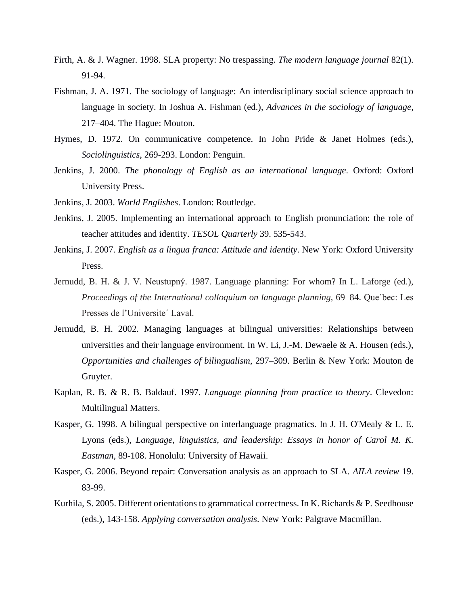- Firth, A. & J. Wagner. 1998. SLA property: No trespassing. *The modern language journal* 82(1). 91-94.
- Fishman, J. A. 1971. The sociology of language: An interdisciplinary social science approach to language in society. In Joshua A. Fishman (ed.), *Advances in the sociology of language*, 217–404. The Hague: Mouton.
- Hymes, D. 1972. On communicative competence. In John Pride & Janet Holmes (eds.), *Sociolinguistics*, 269-293. London: Penguin.
- Jenkins, J. 2000. *The phonology of English as an international* l*anguage*. Oxford: Oxford University Press.
- Jenkins, J. 2003. *World Englishes*. London: Routledge.
- Jenkins, J. 2005. Implementing an international approach to English pronunciation: the role of teacher attitudes and identity. *TESOL Quarterly* 39. 535-543.
- Jenkins, J. 2007. *English as a lingua franca: Attitude and identity*. New York: Oxford University Press.
- Jernudd, B. H. & J. V. Neustupný. 1987. Language planning: For whom? In L. Laforge (ed.), *Proceedings of the International colloquium on language planning*, 69–84. Que´bec: Les Presses de l'Universite´ Laval.
- Jernudd, B. H. 2002. Managing languages at bilingual universities: Relationships between universities and their language environment. In W. Li, J.-M. Dewaele & A. Housen (eds.), *Opportunities and challenges of bilingualism*, 297–309. Berlin & New York: Mouton de Gruyter.
- Kaplan, R. B. & R. B. Baldauf. 1997. *Language planning from practice to theory*. Clevedon: Multilingual Matters.
- Kasper, G. 1998. A bilingual perspective on interlanguage pragmatics. In J. H. O'Mealy & L. E. Lyons (eds.), *Language, linguistics, and leadership: Essays in honor of Carol M. K. Eastman*, 89-108. Honolulu: University of Hawaii.
- Kasper, G. 2006. Beyond repair: Conversation analysis as an approach to SLA. *AILA review* 19. 83-99.
- Kurhila, S. 2005. Different orientations to grammatical correctness. In K. Richards & P. Seedhouse (eds.), 143-158. *Applying conversation analysis*. New York: Palgrave Macmillan.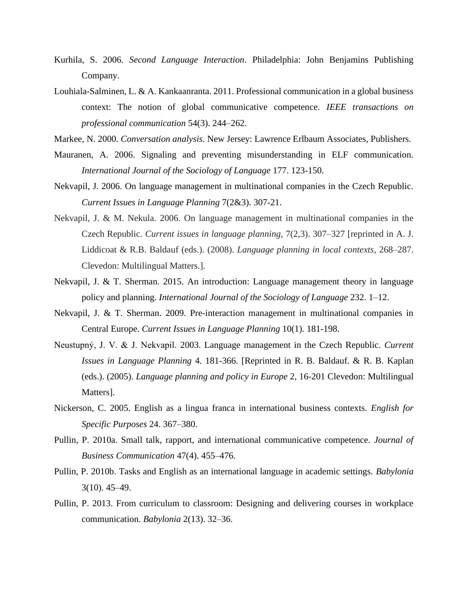- Kurhila, S. 2006. *Second Language Interaction*. Philadelphia: John Benjamins Publishing Company.
- Louhiala-Salminen, L. & A. Kankaanranta. 2011. Professional communication in a global business context: The notion of global communicative competence. *IEEE transactions on professional communication* 54(3). 244–262.
- Markee, N. 2000. *Conversation analysis.* New Jersey: Lawrence Erlbaum Associates, Publishers.
- Mauranen, A. 2006. Signaling and preventing misunderstanding in ELF communication. *International Journal of the Sociology of Language* 177. 123-150.
- Nekvapil, J. 2006. On language management in multinational companies in the Czech Republic. *Current Issues in Language Planning* 7(2&3). 307-21.
- Nekvapil, J. & M. Nekula. 2006. On language management in multinational companies in the Czech Republic. *Current issues in language planning*, 7(2,3). 307–327 [reprinted in A. J. Liddicoat & R.B. Baldauf (eds.). (2008). *Language planning in local contexts*, 268–287. Clevedon: Multilingual Matters.].
- Nekvapil, J. & T. Sherman. 2015. An introduction: Language management theory in language policy and planning. *International Journal of the Sociology of Language* 232. 1–12.
- Nekvapil, J. & T. Sherman. 2009. Pre-interaction management in multinational companies in Central Europe. *Current Issues in Language Planning* 10(1). 181-198.
- Neustupný, J. V. & J. Nekvapil. 2003. Language management in the Czech Republic. *Current Issues in Language Planning* 4. 181-366. [Reprinted in R. B. Baldauf. & R. B. Kaplan (eds.). (2005). *Language planning and policy in Europe* 2, 16-201 Clevedon: Multilingual Matters].
- Nickerson, C. 2005. English as a lingua franca in international business contexts. *English for Specific Purposes* 24. 367–380.
- Pullin, P. 2010a. Small talk, rapport, and international communicative competence. *Journal of Business Communication* 47(4). 455–476.
- Pullin, P. 2010b. Tasks and English as an international language in academic settings. *Babylonia*  3(10). 45–49.
- Pullin, P. 2013. From curriculum to classroom: Designing and delivering courses in workplace communication. *Babylonia* 2(13). 32–36.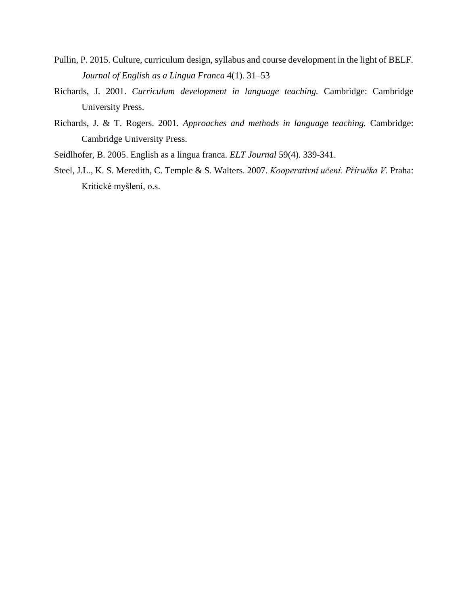- Pullin, P. 2015. Culture, curriculum design, syllabus and course development in the light of BELF. *Journal of English as a Lingua Franca* 4(1). 31–53
- Richards, J. 2001. *Curriculum development in language teaching.* Cambridge: Cambridge University Press.
- Richards, J. & T. Rogers. 2001. *Approaches and methods in language teaching.* Cambridge: Cambridge University Press.
- Seidlhofer, B. 2005. English as a lingua franca. *ELT Journal* 59(4). 339-341.
- Steel, J.L., K. S. Meredith, C. Temple & S. Walters. 2007. *Kooperativní učení. Příručka V*. Praha: Kritické myšlení, o.s.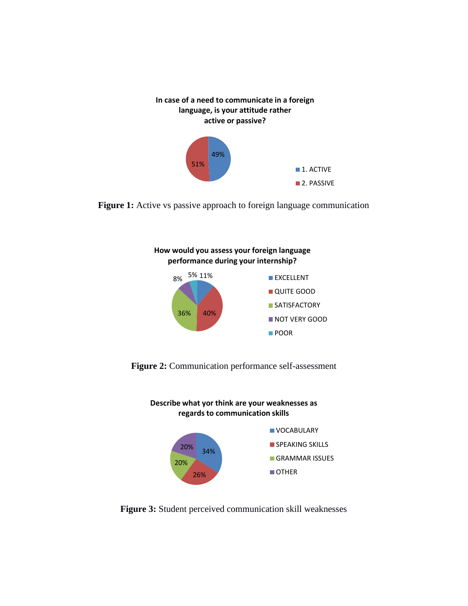

**Figure 1:** Active vs passive approach to foreign language communication



**Figure 2:** Communication performance self-assessment



**Figure 3:** Student perceived communication skill weaknesses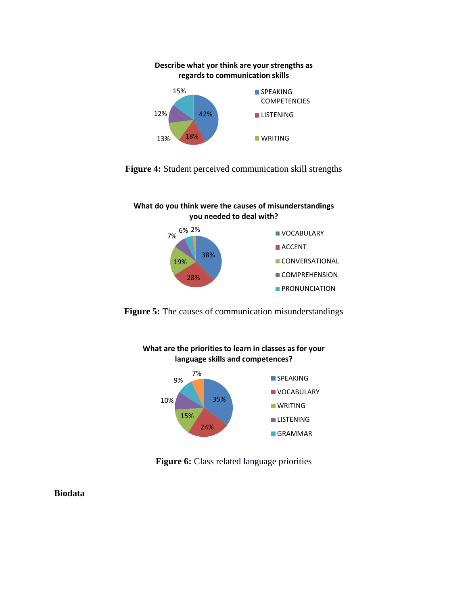

**Figure 4:** Student perceived communication skill strengths



**Figure 5:** The causes of communication misunderstandings



**Figure 6:** Class related language priorities

**Biodata**